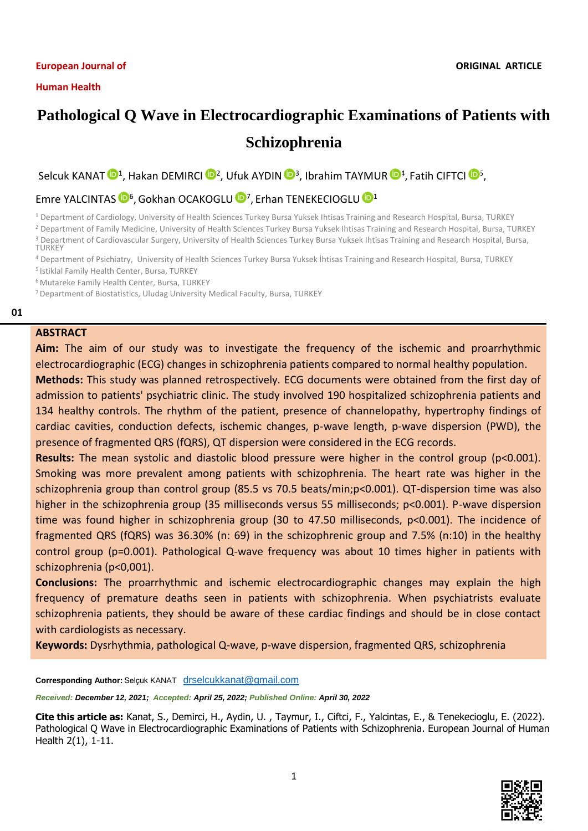#### **European Journal of**

# **Pathological Q Wave in Electrocardiographic Examinations of Patients with Schizophrenia**

Selcuk KANAT  $\mathbf{D}^1$ , Hakan DEMIRCI  $\mathbf{D}^2$ , Ufuk AYDIN  $\mathbf{D}^3$ , Ibrahim TAYMUR  $\mathbf{D}^4$  $\mathbf{D}^4$ , Fatih CIFTCI  $\mathbf{D}^5$  $\mathbf{D}^5$ ,

## Emre YALCINTAS <sup>1</sup><sup>6</sup>, Gokhan OCAKOGLU <sup>10[7](https://orcid.org/0000-0002-1114-6051)</sup>, Erhan TENEKECIOGLU <sup>101</sup>

<sup>1</sup> Department of Cardiology, University of Health Sciences Turkey Bursa Yuksek Ihtisas Training and Research Hospital, Bursa, TURKEY

<sup>2</sup> Department of Family Medicine, University of Health Sciences Turkey Bursa Yuksek Ihtisas Training and Research Hospital, Bursa, TURKEY <sup>3</sup> Department of Cardiovascular Surgery, University of Health Sciences Turkey Bursa Yuksek Ihtisas Training and Research Hospital, Bursa,

- **TURKEY**
- <sup>4</sup> Department of Psichiatry, University of Health Sciences Turkey Bursa Yuksek İhtisas Training and Research Hospital, Bursa, TURKEY
- <sup>5</sup> Istiklal Family Health Center, Bursa, TURKEY

<sup>6</sup>Mutareke Family Health Center, Bursa, TURKEY

<sup>7</sup>Department of Biostatistics, Uludag University Medical Faculty, Bursa, TURKEY

#### **01**

## **ABSTRACT**

**Aim:** The aim of our study was to investigate the frequency of the ischemic and proarrhythmic electrocardiographic (ECG) changes in schizophrenia patients compared to normal healthy population.

**Methods:** This study was planned retrospectively. ECG documents were obtained from the first day of admission to patients' psychiatric clinic. The study involved 190 hospitalized schizophrenia patients and 134 healthy controls. The rhythm of the patient, presence of channelopathy, hypertrophy findings of cardiac cavities, conduction defects, ischemic changes, p-wave length, p-wave dispersion (PWD), the presence of fragmented QRS (fQRS), QT dispersion were considered in the ECG records.

**Results:** The mean systolic and diastolic blood pressure were higher in the control group (p<0.001). Smoking was more prevalent among patients with schizophrenia. The heart rate was higher in the schizophrenia group than control group (85.5 vs 70.5 beats/min;p<0.001). QT-dispersion time was also higher in the schizophrenia group (35 milliseconds versus 55 milliseconds; p<0.001). P-wave dispersion time was found higher in schizophrenia group (30 to 47.50 milliseconds, p<0.001). The incidence of fragmented QRS (fQRS) was 36.30% (n: 69) in the schizophrenic group and 7.5% (n:10) in the healthy control group (p=0.001). Pathological Q-wave frequency was about 10 times higher in patients with schizophrenia (p<0,001).

**Conclusions:** The proarrhythmic and ischemic electrocardiographic changes may explain the high frequency of premature deaths seen in patients with schizophrenia. When psychiatrists evaluate schizophrenia patients, they should be aware of these cardiac findings and should be in close contact with cardiologists as necessary.

**Keywords:** Dysrhythmia, pathological Q-wave, p-wave dispersion, fragmented QRS, schizophrenia

**Corresponding Author:** Selçuk KANAT [drselcukkanat@gmail.com](file:///C:/Users/EREM/Downloads/drselcukkanat@gmail.com)

*Received: December 12, 2021; Accepted: April 25, 2022; Published Online: April 30, 2022*

**Cite this article as:** Kanat, S., Demirci, H., Aydin, U. , Taymur, I., Ciftci, F., Yalcintas, E., & Tenekecioglu, E. (2022). Pathological Q Wave in Electrocardiographic Examinations of Patients with Schizophrenia. European Journal of Human Health 2(1), 1-11.

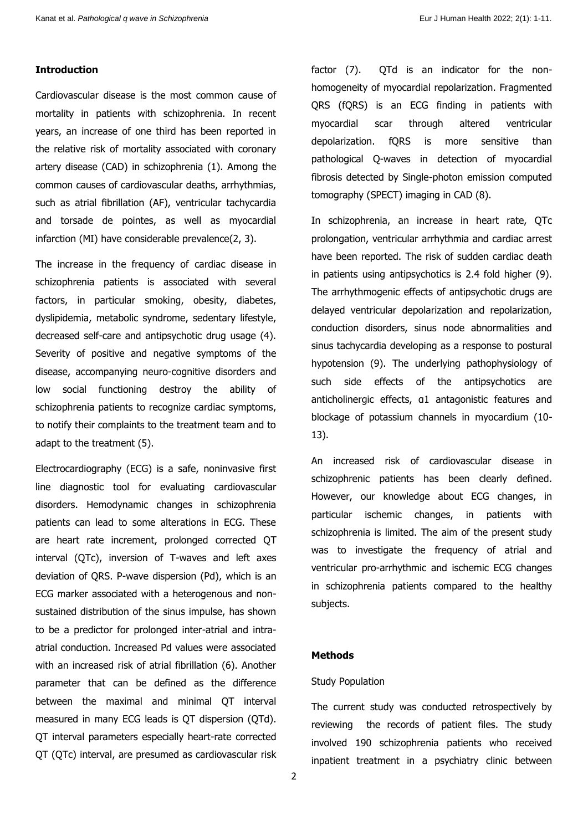#### **Introduction**

Cardiovascular disease is the most common cause of mortality in patients with schizophrenia. In recent years, an increase of one third has been reported in the relative risk of mortality associated with coronary artery disease (CAD) in schizophrenia (1). Among the common causes of cardiovascular deaths, arrhythmias, such as atrial fibrillation (AF), ventricular tachycardia and torsade de pointes, as well as myocardial infarction (MI) have considerable prevalence(2, 3).

The increase in the frequency of cardiac disease in schizophrenia patients is associated with several factors, in particular smoking, obesity, diabetes, dyslipidemia, metabolic syndrome, sedentary lifestyle, decreased self-care and antipsychotic drug usage (4). Severity of positive and negative symptoms of the disease, accompanying neuro-cognitive disorders and low social functioning destroy the ability of schizophrenia patients to recognize cardiac symptoms, to notify their complaints to the treatment team and to adapt to the treatment (5).

Electrocardiography (ECG) is a safe, noninvasive first line diagnostic tool for evaluating cardiovascular disorders. Hemodynamic changes in schizophrenia patients can lead to some alterations in ECG. These are heart rate increment, prolonged corrected QT interval (QTc), inversion of T-waves and left axes deviation of QRS. P-wave dispersion (Pd), which is an ECG marker associated with a heterogenous and nonsustained distribution of the sinus impulse, has shown to be a predictor for prolonged inter-atrial and intraatrial conduction. Increased Pd values were associated with an increased risk of atrial fibrillation (6). Another parameter that can be defined as the difference between the maximal and minimal QT interval measured in many ECG leads is QT dispersion (QTd). QT interval parameters especially heart-rate corrected QT (QTc) interval, are presumed as cardiovascular risk factor (7). QTd is an indicator for the nonhomogeneity of myocardial repolarization. Fragmented QRS (fQRS) is an ECG finding in patients with myocardial scar through altered ventricular depolarization. fQRS is more sensitive than pathological Q-waves in detection of myocardial fibrosis detected by Single-photon emission computed tomography (SPECT) imaging in CAD (8).

In schizophrenia, an increase in heart rate, QTc prolongation, ventricular arrhythmia and cardiac arrest have been reported. The risk of sudden cardiac death in patients using antipsychotics is 2.4 fold higher (9). The arrhythmogenic effects of antipsychotic drugs are delayed ventricular depolarization and repolarization, conduction disorders, sinus node abnormalities and sinus tachycardia developing as a response to postural hypotension (9). The underlying pathophysiology of such side effects of the antipsychotics are anticholinergic effects, α1 antagonistic features and blockage of potassium channels in myocardium (10- 13).

An increased risk of cardiovascular disease in schizophrenic patients has been clearly defined. However, our knowledge about ECG changes, in particular ischemic changes, in patients with schizophrenia is limited. The aim of the present study was to investigate the frequency of atrial and ventricular pro-arrhythmic and ischemic ECG changes in schizophrenia patients compared to the healthy subjects.

#### **Methods**

#### Study Population

The current study was conducted retrospectively by reviewing the records of patient files. The study involved 190 schizophrenia patients who received inpatient treatment in a psychiatry clinic between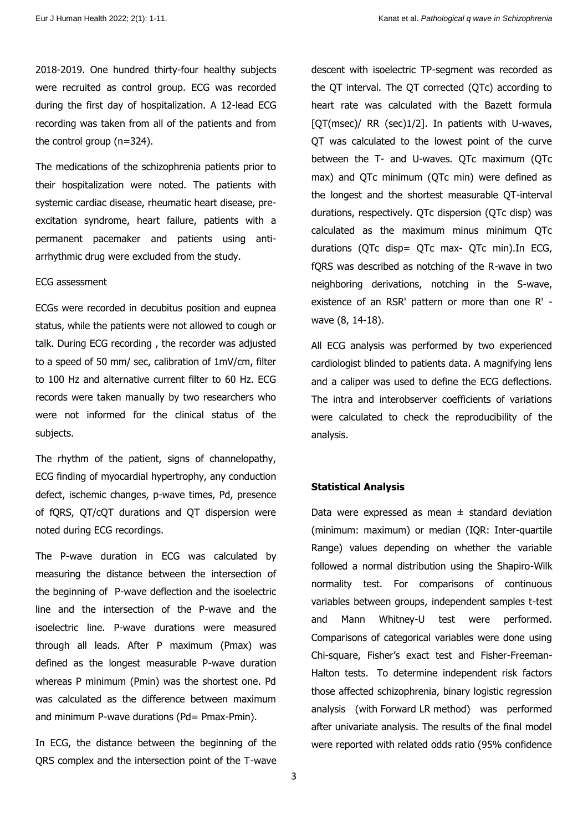2018-2019. One hundred thirty-four healthy subjects were recruited as control group. ECG was recorded during the first day of hospitalization. A 12-lead ECG recording was taken from all of the patients and from the control group (n=324).

The medications of the schizophrenia patients prior to their hospitalization were noted. The patients with systemic cardiac disease, rheumatic heart disease, preexcitation syndrome, heart failure, patients with a permanent pacemaker and patients using antiarrhythmic drug were excluded from the study.

#### ECG assessment

ECGs were recorded in decubitus position and eupnea status, while the patients were not allowed to cough or talk. During ECG recording , the recorder was adjusted to a speed of 50 mm/ sec, calibration of 1mV/cm, filter to 100 Hz and alternative current filter to 60 Hz. ECG records were taken manually by two researchers who were not informed for the clinical status of the subjects.

The rhythm of the patient, signs of channelopathy, ECG finding of myocardial hypertrophy, any conduction defect, ischemic changes, p-wave times, Pd, presence of fQRS, QT/cQT durations and QT dispersion were noted during ECG recordings.

The P-wave duration in ECG was calculated by measuring the distance between the intersection of the beginning of P-wave deflection and the isoelectric line and the intersection of the P-wave and the isoelectric line. P-wave durations were measured through all leads. After P maximum (Pmax) was defined as the longest measurable P-wave duration whereas P minimum (Pmin) was the shortest one. Pd was calculated as the difference between maximum and minimum P-wave durations (Pd= Pmax-Pmin).

In ECG, the distance between the beginning of the QRS complex and the intersection point of the T-wave descent with isoelectric TP-segment was recorded as the QT interval. The QT corrected (QTc) according to heart rate was calculated with the Bazett formula [QT(msec)/ RR (sec)1/2]. In patients with U-waves, QT was calculated to the lowest point of the curve between the T- and U-waves. QTc maximum (QTc max) and QTc minimum (QTc min) were defined as the longest and the shortest measurable QT-interval durations, respectively. QTc dispersion (QTc disp) was calculated as the maximum minus minimum QTc durations (QTc disp= QTc max- QTc min).In ECG, fQRS was described as notching of the R-wave in two neighboring derivations, notching in the S-wave, existence of an RSR' pattern or more than one R' wave (8, 14-18).

All ECG analysis was performed by two experienced cardiologist blinded to patients data. A magnifying lens and a caliper was used to define the ECG deflections. The intra and interobserver coefficients of variations were calculated to check the reproducibility of the analysis.

#### **Statistical Analysis**

Data were expressed as mean  $\pm$  standard deviation (minimum: maximum) or median (IQR: Inter-quartile Range) values depending on whether the variable followed a normal distribution using the Shapiro-Wilk normality test. For comparisons of continuous variables between groups, independent samples t-test and Mann Whitney-U test were performed. Comparisons of categorical variables were done using Chi-square, Fisher's exact test and Fisher-Freeman-Halton tests. To determine independent risk factors those affected schizophrenia, binary logistic regression analysis (with Forward LR method) was performed after univariate analysis. The results of the final model were reported with related odds ratio (95% confidence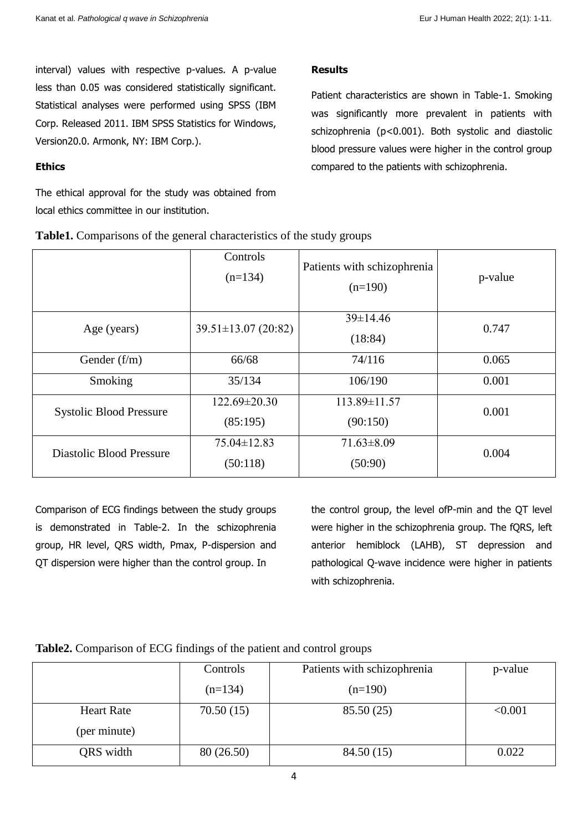interval) values with respective p-values. A p-value less than 0.05 was considered statistically significant. Statistical analyses were performed using SPSS (IBM Corp. Released 2011. IBM SPSS Statistics for Windows, Version20.0. Armonk, NY: IBM Corp.).

## **Ethics**

The ethical approval for the study was obtained from local ethics committee in our institution.

## **Results**

Patient characteristics are shown in Table-1. Smoking was significantly more prevalent in patients with schizophrenia (p<0.001). Both systolic and diastolic blood pressure values were higher in the control group compared to the patients with schizophrenia.

|                                | Controls<br>$(n=134)$         | Patients with schizophrenia<br>$(n=190)$ | p-value |
|--------------------------------|-------------------------------|------------------------------------------|---------|
| Age (years)                    | $39.51 \pm 13.07$ (20:82)     | $39 \pm 14.46$<br>(18:84)                | 0.747   |
| Gender $(f/m)$                 | 66/68                         | 74/116                                   | 0.065   |
| Smoking                        | 35/134                        | 106/190                                  | 0.001   |
| <b>Systolic Blood Pressure</b> | 122.69±20.30<br>(85:195)      |                                          | 0.001   |
| Diastolic Blood Pressure       | $75.04 \pm 12.83$<br>(50:118) | $71.63 \pm 8.09$<br>(50:90)              | 0.004   |

**Table1.** Comparisons of the general characteristics of the study groups

Comparison of ECG findings between the study groups is demonstrated in Table-2. In the schizophrenia group, HR level, QRS width, Pmax, P-dispersion and QT dispersion were higher than the control group. In

the control group, the level ofP-min and the QT level were higher in the schizophrenia group. The fQRS, left anterior hemiblock (LAHB), ST depression and pathological Q-wave incidence were higher in patients with schizophrenia.

## **Table2.** Comparison of ECG findings of the patient and control groups

|                   | Controls   | Patients with schizophrenia | p-value |
|-------------------|------------|-----------------------------|---------|
|                   | $(n=134)$  | $(n=190)$                   |         |
| <b>Heart Rate</b> | 70.50(15)  | 85.50(25)                   | < 0.001 |
| (per minute)      |            |                             |         |
| QRS width         | 80 (26.50) | 84.50(15)                   | 0.022   |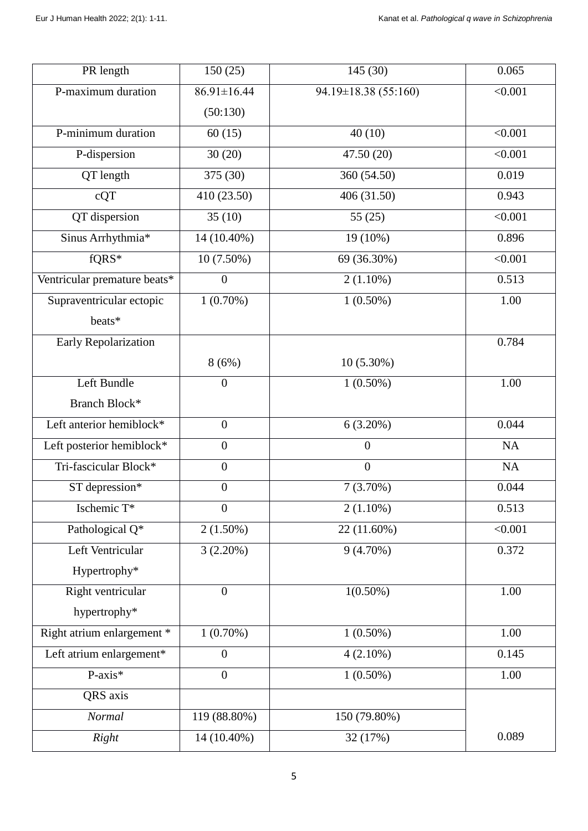| PR length                    | 150(25)                         | 145(30)              | 0.065   |
|------------------------------|---------------------------------|----------------------|---------|
| P-maximum duration           | 86.91±16.44                     | 94.19±18.38 (55:160) | < 0.001 |
|                              | (50:130)                        |                      |         |
| P-minimum duration           | 40(10)<br>60(15)                |                      | < 0.001 |
| P-dispersion                 | 30(20)                          | 47.50(20)            | < 0.001 |
| QT length                    | 375 (30)                        | 360 (54.50)          | 0.019   |
| cQT                          | 410 (23.50)                     | 406 (31.50)          | 0.943   |
| QT dispersion                | 35(10)                          | 55(25)               | < 0.001 |
| Sinus Arrhythmia*            | 14 (10.40%)                     | 19 (10%)             | 0.896   |
| fQRS*                        | $10(7.50\%)$                    | 69 (36.30%)          | < 0.001 |
| Ventricular premature beats* | $2(1.10\%)$<br>$\boldsymbol{0}$ |                      | 0.513   |
| Supraventricular ectopic     | $1(0.70\%)$                     | $1(0.50\%)$          | 1.00    |
| beats*                       |                                 |                      |         |
| Early Repolarization         |                                 |                      | 0.784   |
|                              | 8(6%)                           | $10(5.30\%)$         |         |
| Left Bundle                  | $\boldsymbol{0}$                | $1(0.50\%)$          | 1.00    |
| Branch Block*                |                                 |                      |         |
| Left anterior hemiblock*     | $\overline{0}$<br>$6(3.20\%)$   |                      | 0.044   |
| Left posterior hemiblock*    | $\boldsymbol{0}$                | $\overline{0}$       | NA      |
| Tri-fascicular Block*        | $\boldsymbol{0}$                | $\boldsymbol{0}$     | NA      |
| ST depression*               | $\boldsymbol{0}$                | $7(3.70\%)$          | 0.044   |
| Ischemic T*                  | $\boldsymbol{0}$                | $2(1.10\%)$          | 0.513   |
| Pathological Q*              | $2(1.50\%)$                     | 22 (11.60%)          | < 0.001 |
| Left Ventricular             | 3(2.20%)                        | $9(4.70\%)$          | 0.372   |
| Hypertrophy*                 |                                 |                      |         |
| Right ventricular            | $\overline{0}$                  | $1(0.50\%)$          | 1.00    |
| hypertrophy*                 |                                 |                      |         |
| Right atrium enlargement *   | $1(0.70\%)$                     | $1(0.50\%)$          | 1.00    |
| Left atrium enlargement*     | $\boldsymbol{0}$                | $4(2.10\%)$          | 0.145   |
| $P-axis*$                    | $\overline{0}$                  | $1(0.50\%)$          | 1.00    |
| QRS axis                     |                                 |                      |         |
| Normal                       | 119 (88.80%)                    | 150 (79.80%)         |         |
| Right                        | 14 (10.40%)                     | 32 (17%)             | 0.089   |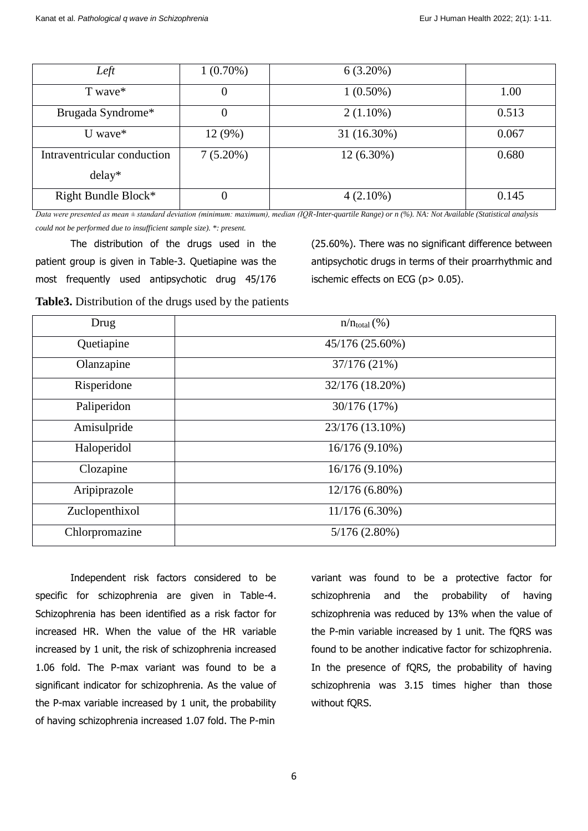| Left                        | $1(0.70\%)$ | $6(3.20\%)$  |       |
|-----------------------------|-------------|--------------|-------|
| T wave*                     | $\theta$    | $1(0.50\%)$  | 1.00  |
| Brugada Syndrome*           |             | $2(1.10\%)$  | 0.513 |
| U wave $*$                  | 12 (9%)     | 31 (16.30%)  | 0.067 |
| Intraventricular conduction | $7(5.20\%)$ | $12(6.30\%)$ | 0.680 |
| $delay*$                    |             |              |       |
| Right Bundle Block*         |             | $4(2.10\%)$  | 0.145 |

*Data were presented as mean ± standard deviation (minimum: maximum), median (IQR-Inter-quartile Range) or n (%). NA: Not Available (Statistical analysis could not be performed due to insufficient sample size). \*: present.*

The distribution of the drugs used in the patient group is given in Table-3. Quetiapine was the most frequently used antipsychotic drug 45/176 (25.60%). There was no significant difference between antipsychotic drugs in terms of their proarrhythmic and ischemic effects on ECG (p> 0.05).

**Table3.** Distribution of the drugs used by the patients

| Drug           | $n/n_{\text{total}}(\%)$ |
|----------------|--------------------------|
| Quetiapine     | 45/176 (25.60%)          |
| Olanzapine     | 37/176 (21%)             |
| Risperidone    | 32/176 (18.20%)          |
| Paliperidon    | 30/176 (17%)             |
| Amisulpride    | 23/176 (13.10%)          |
| Haloperidol    | 16/176 (9.10%)           |
| Clozapine      | 16/176 (9.10%)           |
| Aripiprazole   | 12/176 (6.80%)           |
| Zuclopenthixol | 11/176 (6.30%)           |
| Chlorpromazine | $5/176(2.80\%)$          |

Independent risk factors considered to be specific for schizophrenia are given in Table-4. Schizophrenia has been identified as a risk factor for increased HR. When the value of the HR variable increased by 1 unit, the risk of schizophrenia increased 1.06 fold. The P-max variant was found to be a significant indicator for schizophrenia. As the value of the P-max variable increased by 1 unit, the probability of having schizophrenia increased 1.07 fold. The P-min

variant was found to be a protective factor for schizophrenia and the probability of having schizophrenia was reduced by 13% when the value of the P-min variable increased by 1 unit. The fQRS was found to be another indicative factor for schizophrenia. In the presence of fQRS, the probability of having schizophrenia was 3.15 times higher than those without fQRS.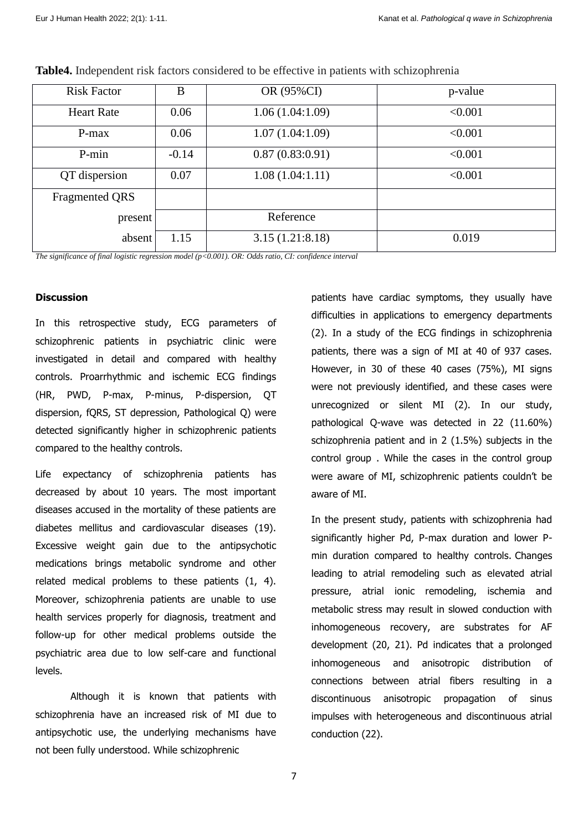| <b>Risk Factor</b>    | B       | OR (95%CI)      | p-value |
|-----------------------|---------|-----------------|---------|
| <b>Heart Rate</b>     | 0.06    | 1.06(1.04:1.09) | < 0.001 |
| P-max                 | 0.06    | 1.07(1.04:1.09) | < 0.001 |
| P-min                 | $-0.14$ | 0.87(0.83:0.91) | < 0.001 |
| QT dispersion         | 0.07    | 1.08(1.04:1.11) | < 0.001 |
| <b>Fragmented QRS</b> |         |                 |         |
| present               |         | Reference       |         |
| absent                | 1.15    | 3.15(1.21:8.18) | 0.019   |

**Table4.** Independent risk factors considered to be effective in patients with schizophrenia

*The significance of final logistic regression model (p<0.001). OR: Odds ratio, CI: confidence interval*

## **Discussion**

In this retrospective study, ECG parameters of schizophrenic patients in psychiatric clinic were investigated in detail and compared with healthy controls. Proarrhythmic and ischemic ECG findings (HR, PWD, P-max, P-minus, P-dispersion, QT dispersion, fQRS, ST depression, Pathological Q) were detected significantly higher in schizophrenic patients compared to the healthy controls.

Life expectancy of schizophrenia patients has decreased by about 10 years. The most important diseases accused in the mortality of these patients are diabetes mellitus and cardiovascular diseases (19). Excessive weight gain due to the antipsychotic medications brings metabolic syndrome and other related medical problems to these patients (1, 4). Moreover, schizophrenia patients are unable to use health services properly for diagnosis, treatment and follow-up for other medical problems outside the psychiatric area due to low self-care and functional levels.

Although it is known that patients with schizophrenia have an increased risk of MI due to antipsychotic use, the underlying mechanisms have not been fully understood. While schizophrenic

patients have cardiac symptoms, they usually have difficulties in applications to emergency departments (2). In a study of the ECG findings in schizophrenia patients, there was a sign of MI at 40 of 937 cases. However, in 30 of these 40 cases (75%), MI signs were not previously identified, and these cases were unrecognized or silent MI (2). In our study, pathological Q-wave was detected in 22 (11.60%) schizophrenia patient and in 2 (1.5%) subjects in the control group . While the cases in the control group were aware of MI, schizophrenic patients couldn't be aware of MI.

In the present study, patients with schizophrenia had significantly higher Pd, P-max duration and lower Pmin duration compared to healthy controls. Changes leading to atrial remodeling such as elevated atrial pressure, atrial ionic remodeling, ischemia and metabolic stress may result in slowed conduction with inhomogeneous recovery, are substrates for AF development (20, 21). Pd indicates that a prolonged inhomogeneous and anisotropic distribution of connections between atrial fibers resulting in a discontinuous anisotropic propagation of sinus impulses with heterogeneous and discontinuous atrial conduction (22).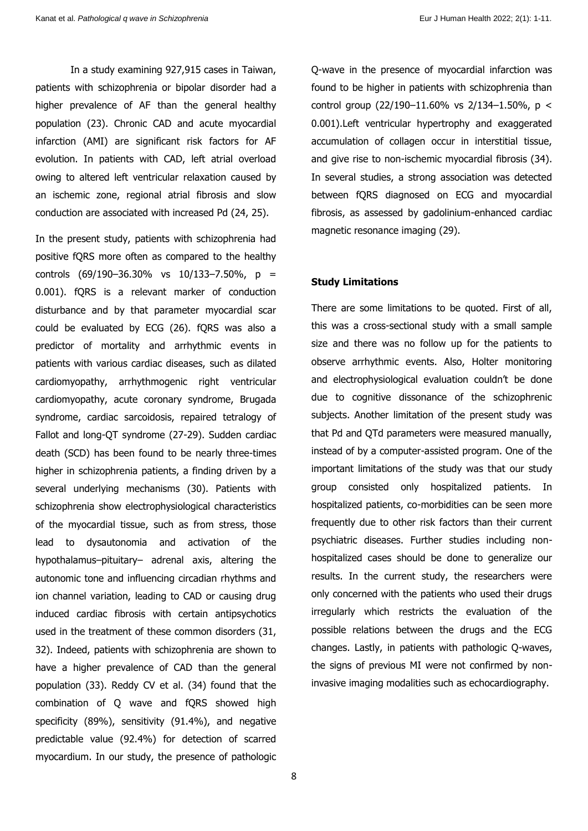In a study examining 927,915 cases in Taiwan, patients with schizophrenia or bipolar disorder had a higher prevalence of AF than the general healthy population (23). Chronic CAD and acute myocardial infarction (AMI) are significant risk factors for AF evolution. In patients with CAD, left atrial overload owing to altered left ventricular relaxation caused by an ischemic zone, regional atrial fibrosis and slow conduction are associated with increased Pd (24, 25).

In the present study, patients with schizophrenia had positive fQRS more often as compared to the healthy controls (69/190–36.30% vs 10/133–7.50%, p = 0.001). fQRS is a relevant marker of conduction disturbance and by that parameter myocardial scar could be evaluated by ECG (26). fQRS was also a predictor of mortality and arrhythmic events in patients with various cardiac diseases, such as dilated cardiomyopathy, arrhythmogenic right ventricular cardiomyopathy, acute coronary syndrome, Brugada syndrome, cardiac sarcoidosis, repaired tetralogy of Fallot and long-QT syndrome (27-29). Sudden cardiac death (SCD) has been found to be nearly three-times higher in schizophrenia patients, a finding driven by a several underlying mechanisms (30). Patients with schizophrenia show electrophysiological characteristics of the myocardial tissue, such as from stress, those lead to dysautonomia and activation of the hypothalamus–pituitary– adrenal axis, altering the autonomic tone and influencing circadian rhythms and ion channel variation, leading to CAD or causing drug induced cardiac fibrosis with certain antipsychotics used in the treatment of these common disorders (31, 32). Indeed, patients with schizophrenia are shown to have a higher prevalence of CAD than the general population (33). Reddy CV et al. (34) found that the combination of Q wave and fQRS showed high specificity (89%), sensitivity (91.4%), and negative predictable value (92.4%) for detection of scarred myocardium. In our study, the presence of pathologic Q-wave in the presence of myocardial infarction was found to be higher in patients with schizophrenia than control group  $(22/190-11.60\% \text{ vs } 2/134-1.50\% \text{ s } <$ 0.001).Left ventricular hypertrophy and exaggerated accumulation of collagen occur in interstitial tissue, and give rise to non-ischemic myocardial fibrosis (34). In several studies, a strong association was detected between fQRS diagnosed on ECG and myocardial fibrosis, as assessed by gadolinium-enhanced cardiac magnetic resonance imaging (29).

#### **Study Limitations**

There are some limitations to be quoted. First of all, this was a cross-sectional study with a small sample size and there was no follow up for the patients to observe arrhythmic events. Also, Holter monitoring and electrophysiological evaluation couldn't be done due to cognitive dissonance of the schizophrenic subjects. Another limitation of the present study was that Pd and QTd parameters were measured manually, instead of by a computer-assisted program. One of the important limitations of the study was that our study group consisted only hospitalized patients. In hospitalized patients, co-morbidities can be seen more frequently due to other risk factors than their current psychiatric diseases. Further studies including nonhospitalized cases should be done to generalize our results. In the current study, the researchers were only concerned with the patients who used their drugs irregularly which restricts the evaluation of the possible relations between the drugs and the ECG changes. Lastly, in patients with pathologic Q-waves, the signs of previous MI were not confirmed by noninvasive imaging modalities such as echocardiography.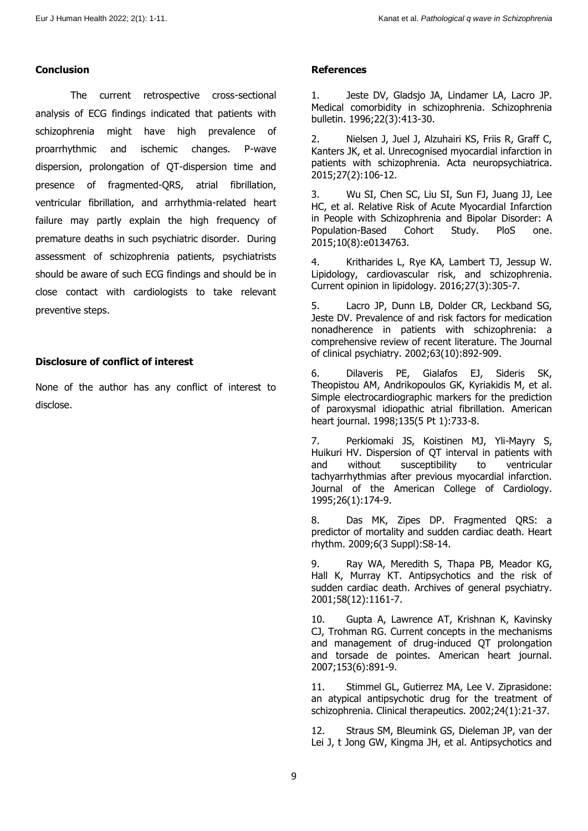## **Conclusion**

The current retrospective cross-sectional analysis of ECG findings indicated that patients with schizophrenia might have high prevalence of proarrhythmic and ischemic changes. P-wave dispersion, prolongation of QT-dispersion time and presence of fragmented-QRS, atrial fibrillation, ventricular fibrillation, and arrhythmia-related heart failure may partly explain the high frequency of premature deaths in such psychiatric disorder. During assessment of schizophrenia patients, psychiatrists should be aware of such ECG findings and should be in close contact with cardiologists to take relevant preventive steps.

## **Disclosure of conflict of interest**

None of the author has any conflict of interest to disclose.

## **References**

1. Jeste DV, Gladsjo JA, Lindamer LA, Lacro JP. Medical comorbidity in schizophrenia. Schizophrenia bulletin. 1996;22(3):413-30.

2. Nielsen J, Juel J, Alzuhairi KS, Friis R, Graff C, Kanters JK, et al. Unrecognised myocardial infarction in patients with schizophrenia. Acta neuropsychiatrica. 2015;27(2):106-12.

3. Wu SI, Chen SC, Liu SI, Sun FJ, Juang JJ, Lee HC, et al. Relative Risk of Acute Myocardial Infarction in People with Schizophrenia and Bipolar Disorder: A Population-Based Cohort Study. PloS one. 2015;10(8):e0134763.

4. Kritharides L, Rye KA, Lambert TJ, Jessup W. Lipidology, cardiovascular risk, and schizophrenia. Current opinion in lipidology. 2016;27(3):305-7.

5. Lacro JP, Dunn LB, Dolder CR, Leckband SG, Jeste DV. Prevalence of and risk factors for medication nonadherence in patients with schizophrenia: a comprehensive review of recent literature. The Journal of clinical psychiatry. 2002;63(10):892-909.

6. Dilaveris PE, Gialafos EJ, Sideris SK, Theopistou AM, Andrikopoulos GK, Kyriakidis M, et al. Simple electrocardiographic markers for the prediction of paroxysmal idiopathic atrial fibrillation. American heart journal. 1998;135(5 Pt 1):733-8.

7. Perkiomaki JS, Koistinen MJ, Yli-Mayry S, Huikuri HV. Dispersion of QT interval in patients with and without susceptibility to ventricular tachyarrhythmias after previous myocardial infarction. Journal of the American College of Cardiology. 1995;26(1):174-9.

8. Das MK, Zipes DP. Fragmented QRS: a predictor of mortality and sudden cardiac death. Heart rhythm. 2009;6(3 Suppl):S8-14.

9. Ray WA, Meredith S, Thapa PB, Meador KG, Hall K, Murray KT. Antipsychotics and the risk of sudden cardiac death. Archives of general psychiatry. 2001;58(12):1161-7.

10. Gupta A, Lawrence AT, Krishnan K, Kavinsky CJ, Trohman RG. Current concepts in the mechanisms and management of drug-induced QT prolongation and torsade de pointes. American heart journal. 2007;153(6):891-9.

11. Stimmel GL, Gutierrez MA, Lee V. Ziprasidone: an atypical antipsychotic drug for the treatment of schizophrenia. Clinical therapeutics. 2002;24(1):21-37.

12. Straus SM, Bleumink GS, Dieleman JP, van der Lei J, t Jong GW, Kingma JH, et al. Antipsychotics and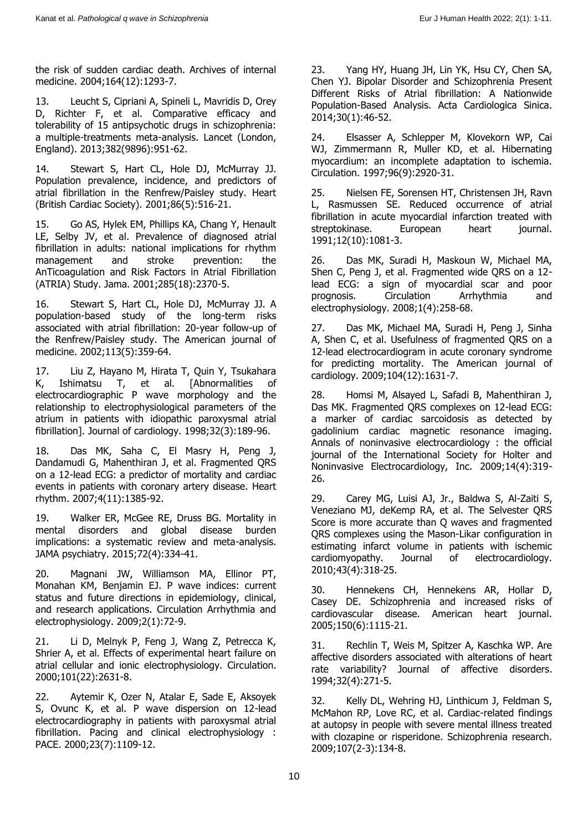the risk of sudden cardiac death. Archives of internal medicine. 2004;164(12):1293-7.

13. Leucht S, Cipriani A, Spineli L, Mavridis D, Orey D, Richter F, et al. Comparative efficacy and tolerability of 15 antipsychotic drugs in schizophrenia: a multiple-treatments meta-analysis. Lancet (London, England). 2013;382(9896):951-62.

14. Stewart S, Hart CL, Hole DJ, McMurray JJ. Population prevalence, incidence, and predictors of atrial fibrillation in the Renfrew/Paisley study. Heart (British Cardiac Society). 2001;86(5):516-21.

15. Go AS, Hylek EM, Phillips KA, Chang Y, Henault LE, Selby JV, et al. Prevalence of diagnosed atrial fibrillation in adults: national implications for rhythm management and stroke prevention: the AnTicoagulation and Risk Factors in Atrial Fibrillation (ATRIA) Study. Jama. 2001;285(18):2370-5.

16. Stewart S, Hart CL, Hole DJ, McMurray JJ. A population-based study of the long-term risks associated with atrial fibrillation: 20-year follow-up of the Renfrew/Paisley study. The American journal of medicine. 2002;113(5):359-64.

17. Liu Z, Hayano M, Hirata T, Quin Y, Tsukahara K, Ishimatsu T, et al. [Abnormalities of electrocardiographic P wave morphology and the relationship to electrophysiological parameters of the atrium in patients with idiopathic paroxysmal atrial fibrillation]. Journal of cardiology. 1998;32(3):189-96.

18. Das MK, Saha C, El Masry H, Peng J, Dandamudi G, Mahenthiran J, et al. Fragmented QRS on a 12-lead ECG: a predictor of mortality and cardiac events in patients with coronary artery disease. Heart rhythm. 2007;4(11):1385-92.

19. Walker ER, McGee RE, Druss BG. Mortality in mental disorders and global disease burden implications: a systematic review and meta-analysis. JAMA psychiatry. 2015;72(4):334-41.

20. Magnani JW, Williamson MA, Ellinor PT, Monahan KM, Benjamin EJ. P wave indices: current status and future directions in epidemiology, clinical, and research applications. Circulation Arrhythmia and electrophysiology. 2009;2(1):72-9.

21. Li D, Melnyk P, Feng J, Wang Z, Petrecca K, Shrier A, et al. Effects of experimental heart failure on atrial cellular and ionic electrophysiology. Circulation. 2000;101(22):2631-8.

22. Aytemir K, Ozer N, Atalar E, Sade E, Aksoyek S, Ovunc K, et al. P wave dispersion on 12-lead electrocardiography in patients with paroxysmal atrial fibrillation. Pacing and clinical electrophysiology : PACE. 2000;23(7):1109-12.

23. Yang HY, Huang JH, Lin YK, Hsu CY, Chen SA, Chen YJ. Bipolar Disorder and Schizophrenia Present Different Risks of Atrial fibrillation: A Nationwide Population-Based Analysis. Acta Cardiologica Sinica. 2014;30(1):46-52.

24. Elsasser A, Schlepper M, Klovekorn WP, Cai WJ, Zimmermann R, Muller KD, et al. Hibernating myocardium: an incomplete adaptation to ischemia. Circulation. 1997;96(9):2920-31.

25. Nielsen FE, Sorensen HT, Christensen JH, Ravn L, Rasmussen SE. Reduced occurrence of atrial fibrillation in acute myocardial infarction treated with streptokinase. European heart journal. 1991;12(10):1081-3.

26. Das MK, Suradi H, Maskoun W, Michael MA, Shen C, Peng J, et al. Fragmented wide QRS on a 12 lead ECG: a sign of myocardial scar and poor prognosis. Circulation Arrhythmia and electrophysiology. 2008;1(4):258-68.

27. Das MK, Michael MA, Suradi H, Peng J, Sinha A, Shen C, et al. Usefulness of fragmented QRS on a 12-lead electrocardiogram in acute coronary syndrome for predicting mortality. The American journal of cardiology. 2009;104(12):1631-7.

28. Homsi M, Alsayed L, Safadi B, Mahenthiran J, Das MK. Fragmented QRS complexes on 12-lead ECG: a marker of cardiac sarcoidosis as detected by gadolinium cardiac magnetic resonance imaging. Annals of noninvasive electrocardiology : the official journal of the International Society for Holter and Noninvasive Electrocardiology, Inc. 2009;14(4):319- 26.

29. Carey MG, Luisi AJ, Jr., Baldwa S, Al-Zaiti S, Veneziano MJ, deKemp RA, et al. The Selvester QRS Score is more accurate than Q waves and fragmented QRS complexes using the Mason-Likar configuration in estimating infarct volume in patients with ischemic cardiomyopathy. Journal of electrocardiology. 2010;43(4):318-25.

30. Hennekens CH, Hennekens AR, Hollar D, Casey DE. Schizophrenia and increased risks of cardiovascular disease. American heart journal. 2005;150(6):1115-21.

31. Rechlin T, Weis M, Spitzer A, Kaschka WP. Are affective disorders associated with alterations of heart rate variability? Journal of affective disorders. 1994;32(4):271-5.

32. Kelly DL, Wehring HJ, Linthicum J, Feldman S, McMahon RP, Love RC, et al. Cardiac-related findings at autopsy in people with severe mental illness treated with clozapine or risperidone. Schizophrenia research. 2009;107(2-3):134-8.